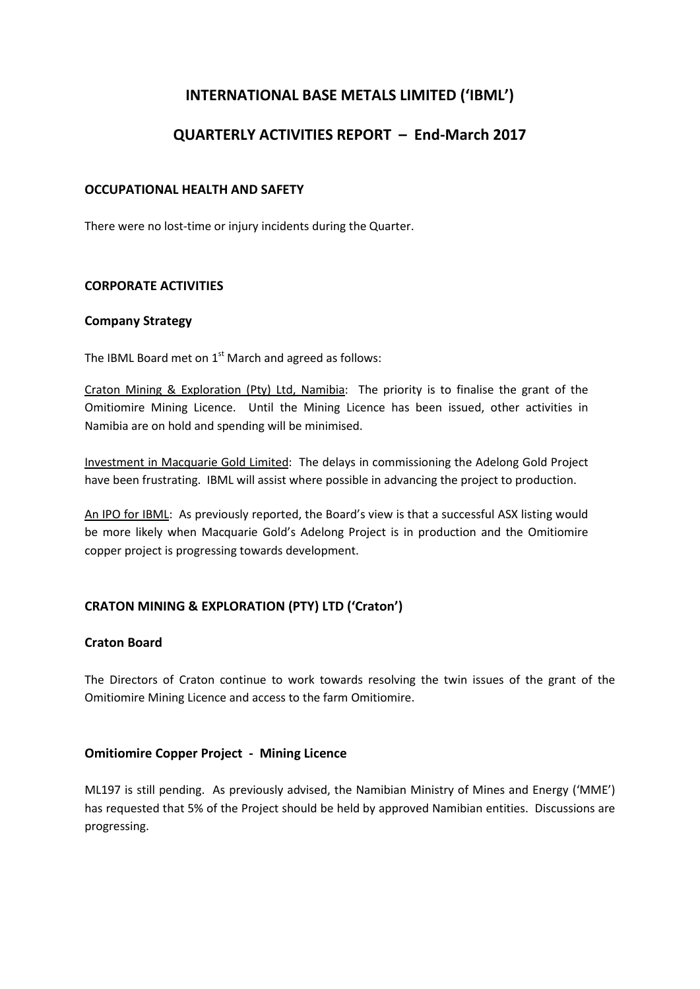# **INTERNATIONAL BASE METALS LIMITED ('IBML')**

# **QUARTERLY ACTIVITIES REPORT – End-March 2017**

# **OCCUPATIONAL HEALTH AND SAFETY**

There were no lost-time or injury incidents during the Quarter.

# **CORPORATE ACTIVITIES**

#### **Company Strategy**

The IBML Board met on  $1<sup>st</sup>$  March and agreed as follows:

Craton Mining & Exploration (Pty) Ltd, Namibia: The priority is to finalise the grant of the Omitiomire Mining Licence. Until the Mining Licence has been issued, other activities in Namibia are on hold and spending will be minimised.

Investment in Macquarie Gold Limited: The delays in commissioning the Adelong Gold Project have been frustrating. IBML will assist where possible in advancing the project to production.

An IPO for IBML: As previously reported, the Board's view is that a successful ASX listing would be more likely when Macquarie Gold's Adelong Project is in production and the Omitiomire copper project is progressing towards development.

# **CRATON MINING & EXPLORATION (PTY) LTD ('Craton')**

# **Craton Board**

The Directors of Craton continue to work towards resolving the twin issues of the grant of the Omitiomire Mining Licence and access to the farm Omitiomire.

# **Omitiomire Copper Project - Mining Licence**

ML197 is still pending. As previously advised, the Namibian Ministry of Mines and Energy ('MME') has requested that 5% of the Project should be held by approved Namibian entities. Discussions are progressing.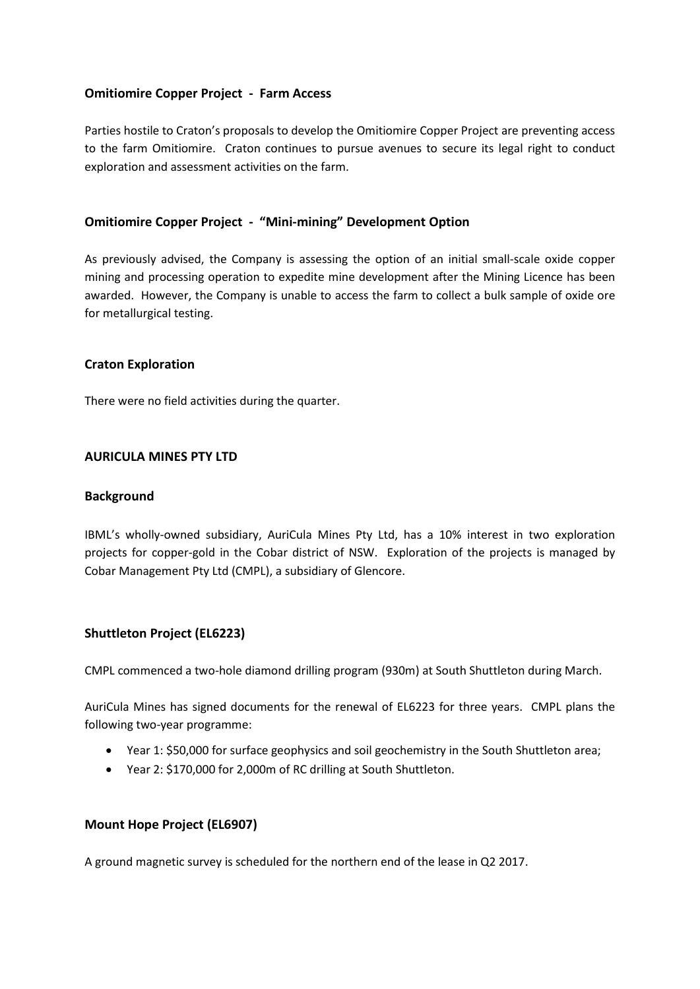# **Omitiomire Copper Project - Farm Access**

Parties hostile to Craton's proposals to develop the Omitiomire Copper Project are preventing access to the farm Omitiomire. Craton continues to pursue avenues to secure its legal right to conduct exploration and assessment activities on the farm.

# **Omitiomire Copper Project - "Mini-mining" Development Option**

As previously advised, the Company is assessing the option of an initial small-scale oxide copper mining and processing operation to expedite mine development after the Mining Licence has been awarded. However, the Company is unable to access the farm to collect a bulk sample of oxide ore for metallurgical testing.

# **Craton Exploration**

There were no field activities during the quarter.

#### **AURICULA MINES PTY LTD**

#### **Background**

IBML's wholly-owned subsidiary, AuriCula Mines Pty Ltd, has a 10% interest in two exploration projects for copper-gold in the Cobar district of NSW. Exploration of the projects is managed by Cobar Management Pty Ltd (CMPL), a subsidiary of Glencore.

# **Shuttleton Project (EL6223)**

CMPL commenced a two-hole diamond drilling program (930m) at South Shuttleton during March.

AuriCula Mines has signed documents for the renewal of EL6223 for three years. CMPL plans the following two-year programme:

- Year 1: \$50,000 for surface geophysics and soil geochemistry in the South Shuttleton area;
- Year 2: \$170,000 for 2,000m of RC drilling at South Shuttleton.

# **Mount Hope Project (EL6907)**

A ground magnetic survey is scheduled for the northern end of the lease in Q2 2017.